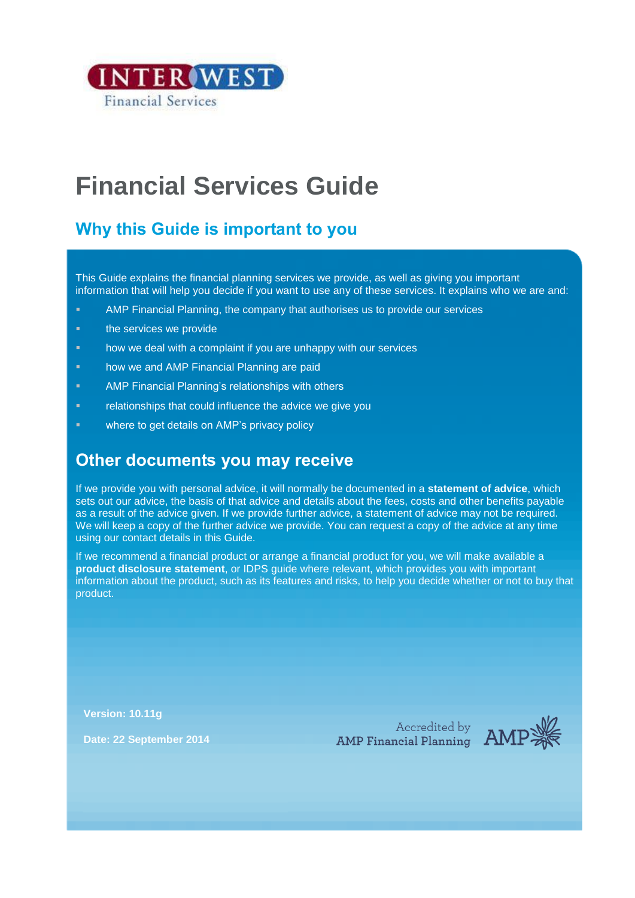

# **Financial Services Guide**

## **Why this Guide is important to you**

This Guide explains the financial planning services we provide, as well as giving you important information that will help you decide if you want to use any of these services. It explains who we are and:

- AMP Financial Planning, the company that authorises us to provide our services
- **the services we provide**
- **how we deal with a complaint if you are unhappy with our services**
- **how we and AMP Financial Planning are paid**
- AMP Financial Planning's relationships with others
- **Fyllon** relationships that could influence the advice we give you
- **EXECUTE:** where to get details on AMP's privacy policy

## **Other documents you may receive**

If we provide you with personal advice, it will normally be documented in a **statement of advice**, which sets out our advice, the basis of that advice and details about the fees, costs and other benefits payable as a result of the advice given. If we provide further advice, a statement of advice may not be required. We will keep a copy of the further advice we provide. You can request a copy of the advice at any time using our contact details in this Guide.

If we recommend a financial product or arrange a financial product for you, we will make available a **product disclosure statement**, or IDPS guide where relevant, which provides you with important information about the product, such as its features and risks, to help you decide whether or not to buy that product.

**Version: 10.11g**

**Date: 22 September 2014**

Accredited by<br>AMP Financial Planning<br>AMP

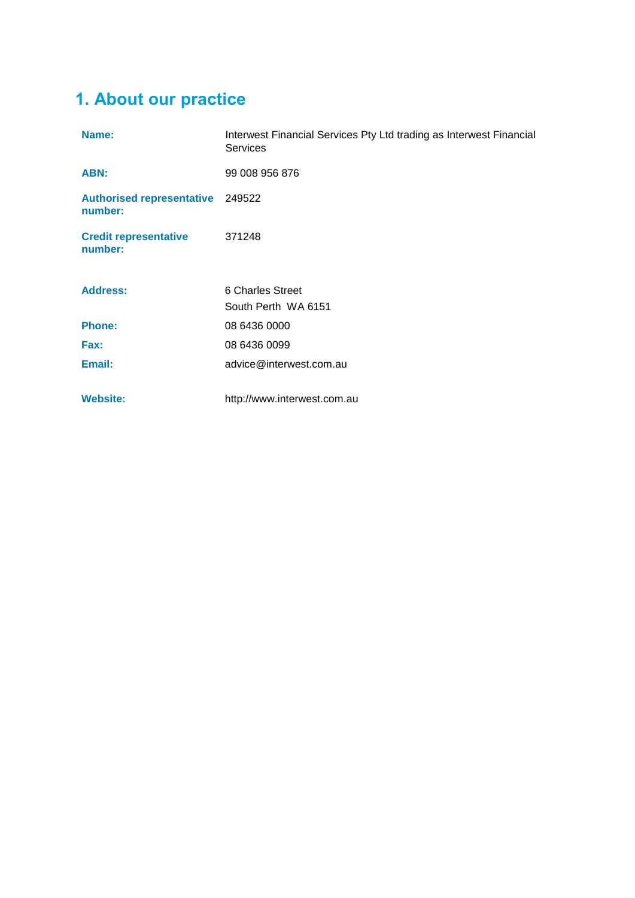## **1. About our practice**

| Name:                                       | Interwest Financial Services Pty Ltd trading as Interwest Financial<br><b>Services</b> |
|---------------------------------------------|----------------------------------------------------------------------------------------|
| ABN:                                        | 99 008 956 876                                                                         |
| Authorised representative 249522<br>number: |                                                                                        |
| <b>Credit representative</b><br>number:     | 371248                                                                                 |
| <b>Address:</b>                             | 6 Charles Street                                                                       |
|                                             | South Perth WA 6151                                                                    |
| <b>Phone:</b>                               | 08 6436 0000                                                                           |
| Fax:                                        | 08 6436 0099                                                                           |
| Email:                                      | advice@interwest.com.au                                                                |
| <b>Website:</b>                             | http://www.interwest.com.au                                                            |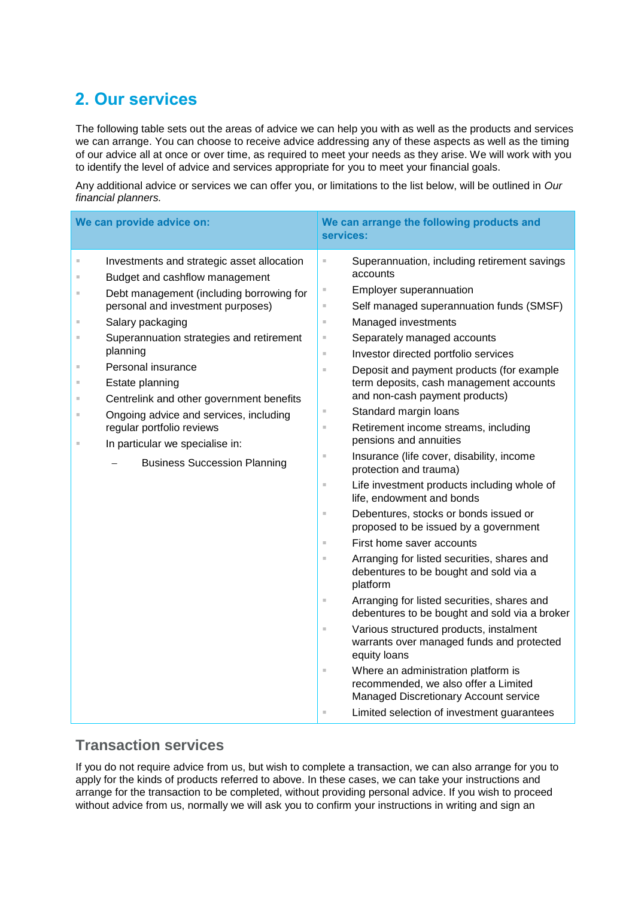## **2. Our services**

The following table sets out the areas of advice we can help you with as well as the products and services we can arrange. You can choose to receive advice addressing any of these aspects as well as the timing of our advice all at once or over time, as required to meet your needs as they arise. We will work with you to identify the level of advice and services appropriate for you to meet your financial goals.

Any additional advice or services we can offer you, or limitations to the list below, will be outlined in *Our financial planners.*

| We can provide advice on:                                                                                                                                                                                                                                                                                                                                                                                                                                                                                                                                       |                                                                                                                                                                     | We can arrange the following products and<br>services:                                                                                                                                                                                                                                                                                                                                                                                                                                                                                                                                                                                                                                                                                                                                                                                                                                                                                                                                                                                                                                                                                                                                                  |
|-----------------------------------------------------------------------------------------------------------------------------------------------------------------------------------------------------------------------------------------------------------------------------------------------------------------------------------------------------------------------------------------------------------------------------------------------------------------------------------------------------------------------------------------------------------------|---------------------------------------------------------------------------------------------------------------------------------------------------------------------|---------------------------------------------------------------------------------------------------------------------------------------------------------------------------------------------------------------------------------------------------------------------------------------------------------------------------------------------------------------------------------------------------------------------------------------------------------------------------------------------------------------------------------------------------------------------------------------------------------------------------------------------------------------------------------------------------------------------------------------------------------------------------------------------------------------------------------------------------------------------------------------------------------------------------------------------------------------------------------------------------------------------------------------------------------------------------------------------------------------------------------------------------------------------------------------------------------|
| Investments and strategic asset allocation<br>$\mathbb{R}^2$<br>Budget and cashflow management<br>×<br>Debt management (including borrowing for<br>×.<br>personal and investment purposes)<br>Salary packaging<br>$\mathbb{R}^d$<br>Superannuation strategies and retirement<br>٠<br>planning<br>Personal insurance<br>×.<br>Estate planning<br>×.<br>Centrelink and other government benefits<br>٠<br>Ongoing advice and services, including<br>×.<br>regular portfolio reviews<br>In particular we specialise in:<br>×<br><b>Business Succession Planning</b> | u,<br>u,<br>×,<br>$\bar{\alpha}$<br>×,<br>$\mathbb{H}$<br>$\bar{\alpha}$<br>×,<br>$\mathbb{H}$<br>×,<br>u,<br>ш<br>$\bar{\alpha}$<br>×,<br>$\equiv$<br>ш<br>ш<br>u, | Superannuation, including retirement savings<br>accounts<br>Employer superannuation<br>Self managed superannuation funds (SMSF)<br>Managed investments<br>Separately managed accounts<br>Investor directed portfolio services<br>Deposit and payment products (for example<br>term deposits, cash management accounts<br>and non-cash payment products)<br>Standard margin loans<br>Retirement income streams, including<br>pensions and annuities<br>Insurance (life cover, disability, income<br>protection and trauma)<br>Life investment products including whole of<br>life, endowment and bonds<br>Debentures, stocks or bonds issued or<br>proposed to be issued by a government<br>First home saver accounts<br>Arranging for listed securities, shares and<br>debentures to be bought and sold via a<br>platform<br>Arranging for listed securities, shares and<br>debentures to be bought and sold via a broker<br>Various structured products, instalment<br>warrants over managed funds and protected<br>equity loans<br>Where an administration platform is<br>recommended, we also offer a Limited<br>Managed Discretionary Account service<br>Limited selection of investment guarantees |

### **Transaction services**

If you do not require advice from us, but wish to complete a transaction, we can also arrange for you to apply for the kinds of products referred to above. In these cases, we can take your instructions and arrange for the transaction to be completed, without providing personal advice. If you wish to proceed without advice from us, normally we will ask you to confirm your instructions in writing and sign an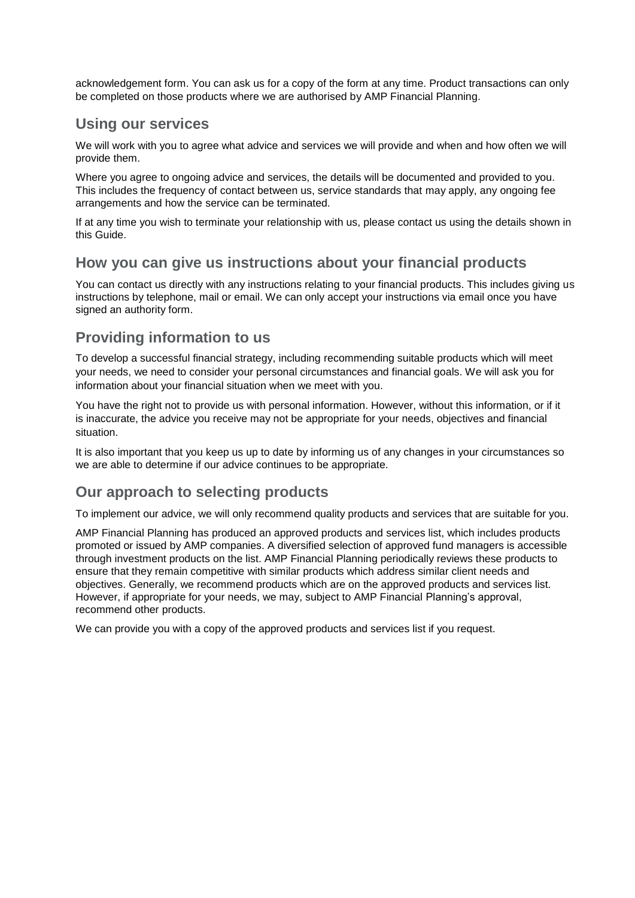acknowledgement form. You can ask us for a copy of the form at any time. Product transactions can only be completed on those products where we are authorised by AMP Financial Planning.

## **Using our services**

We will work with you to agree what advice and services we will provide and when and how often we will provide them.

Where you agree to ongoing advice and services, the details will be documented and provided to you. This includes the frequency of contact between us, service standards that may apply, any ongoing fee arrangements and how the service can be terminated.

If at any time you wish to terminate your relationship with us, please contact us using the details shown in this Guide.

## **How you can give us instructions about your financial products**

You can contact us directly with any instructions relating to your financial products. This includes giving us instructions by telephone, mail or email. We can only accept your instructions via email once you have signed an authority form.

## **Providing information to us**

To develop a successful financial strategy, including recommending suitable products which will meet your needs, we need to consider your personal circumstances and financial goals. We will ask you for information about your financial situation when we meet with you.

You have the right not to provide us with personal information. However, without this information, or if it is inaccurate, the advice you receive may not be appropriate for your needs, objectives and financial situation.

It is also important that you keep us up to date by informing us of any changes in your circumstances so we are able to determine if our advice continues to be appropriate.

## **Our approach to selecting products**

To implement our advice, we will only recommend quality products and services that are suitable for you.

AMP Financial Planning has produced an approved products and services list, which includes products promoted or issued by AMP companies. A diversified selection of approved fund managers is accessible through investment products on the list. AMP Financial Planning periodically reviews these products to ensure that they remain competitive with similar products which address similar client needs and objectives. Generally, we recommend products which are on the approved products and services list. However, if appropriate for your needs, we may, subject to AMP Financial Planning's approval, recommend other products.

We can provide you with a copy of the approved products and services list if you request.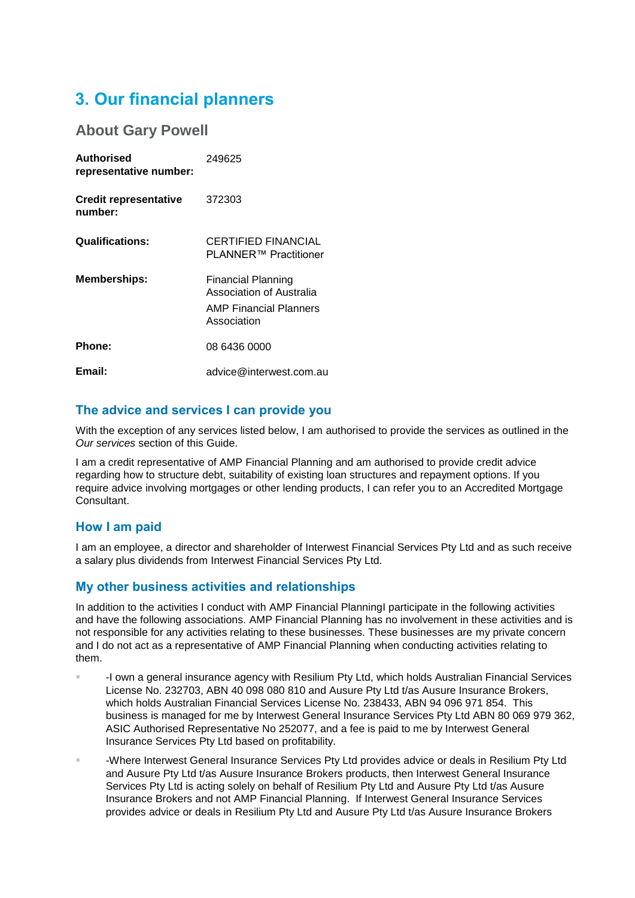## **3. Our financial planners**

### **About Gary Powell**

| <b>Authorised</b><br>representative number: | 249625                                                                                         |
|---------------------------------------------|------------------------------------------------------------------------------------------------|
| <b>Credit representative</b><br>number:     | 372303                                                                                         |
| <b>Qualifications:</b>                      | CERTIFIED FINANCIAL<br>PLANNER™ Practitioner                                                   |
| <b>Memberships:</b>                         | Financial Planning<br>Association of Australia<br><b>AMP Financial Planners</b><br>Association |
| Phone:                                      | 08 6436 0000                                                                                   |
| Email:                                      | advice@interwest.com.au                                                                        |

#### **The advice and services I can provide you**

With the exception of any services listed below, I am authorised to provide the services as outlined in the *Our services* section of this Guide.

I am a credit representative of AMP Financial Planning and am authorised to provide credit advice regarding how to structure debt, suitability of existing loan structures and repayment options. If you require advice involving mortgages or other lending products, I can refer you to an Accredited Mortgage **Consultant** 

### **How I am paid**

I am an employee, a director and shareholder of Interwest Financial Services Pty Ltd and as such receive a salary plus dividends from Interwest Financial Services Pty Ltd.

### **My other business activities and relationships**

In addition to the activities I conduct with AMP Financial PlanningI participate in the following activities and have the following associations. AMP Financial Planning has no involvement in these activities and is not responsible for any activities relating to these businesses. These businesses are my private concern and I do not act as a representative of AMP Financial Planning when conducting activities relating to them.

- -I own a general insurance agency with Resilium Pty Ltd, which holds Australian Financial Services License No. 232703, ABN 40 098 080 810 and Ausure Pty Ltd t/as Ausure Insurance Brokers, which holds Australian Financial Services License No. 238433, ABN 94 096 971 854. This business is managed for me by Interwest General Insurance Services Pty Ltd ABN 80 069 979 362, ASIC Authorised Representative No 252077, and a fee is paid to me by Interwest General Insurance Services Pty Ltd based on profitability.
- -Where Interwest General Insurance Services Pty Ltd provides advice or deals in Resilium Pty Ltd and Ausure Pty Ltd t/as Ausure Insurance Brokers products, then Interwest General Insurance Services Pty Ltd is acting solely on behalf of Resilium Pty Ltd and Ausure Pty Ltd t/as Ausure Insurance Brokers and not AMP Financial Planning. If Interwest General Insurance Services provides advice or deals in Resilium Pty Ltd and Ausure Pty Ltd t/as Ausure Insurance Brokers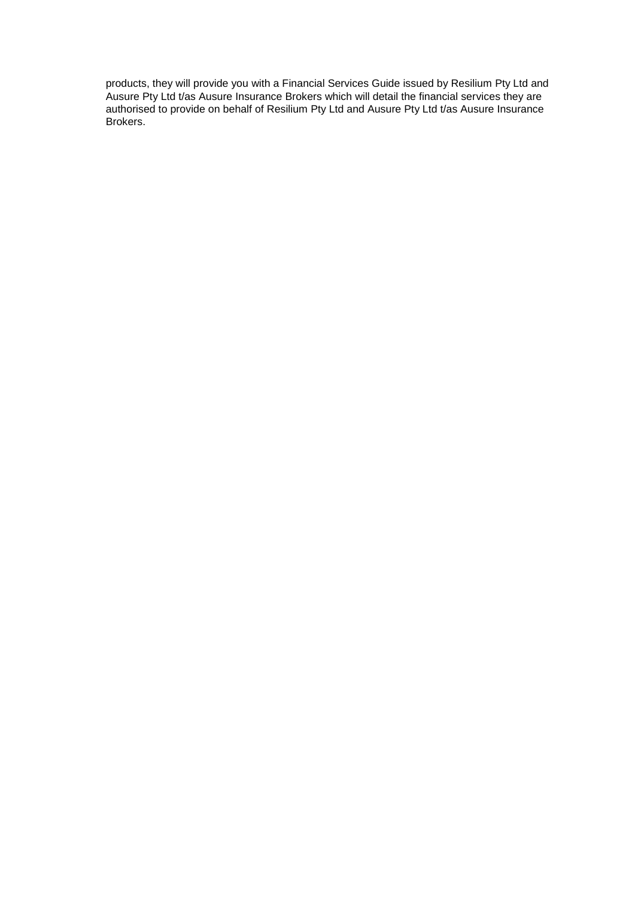products, they will provide you with a Financial Services Guide issued by Resilium Pty Ltd and Ausure Pty Ltd t/as Ausure Insurance Brokers which will detail the financial services they are authorised to provide on behalf of Resilium Pty Ltd and Ausure Pty Ltd t/as Ausure Insurance Brokers.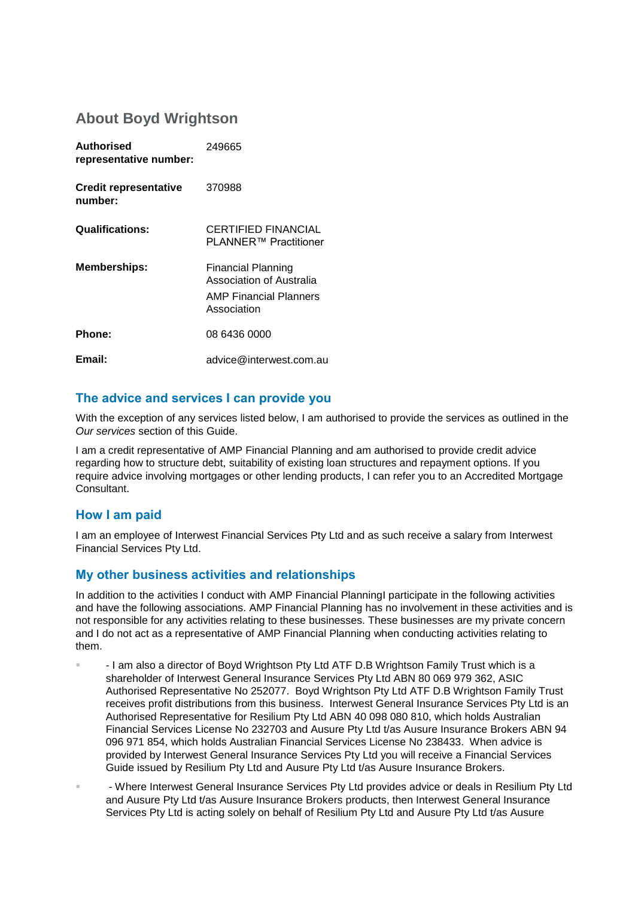## **About Boyd Wrightson**

| Authorised<br>representative number:    | 249665                                                                                  |
|-----------------------------------------|-----------------------------------------------------------------------------------------|
| <b>Credit representative</b><br>number: | 370988                                                                                  |
| <b>Qualifications:</b>                  | <b>CERTIFIED FINANCIAL</b><br>PLANNER™ Practitioner                                     |
| <b>Memberships:</b>                     | Financial Planning<br>Association of Australia<br>AMP Financial Planners<br>Association |
| Phone:                                  | 08 6436 0000                                                                            |
| Email:                                  | advice@interwest.com.au                                                                 |

#### **The advice and services I can provide you**

With the exception of any services listed below, I am authorised to provide the services as outlined in the *Our services* section of this Guide.

I am a credit representative of AMP Financial Planning and am authorised to provide credit advice regarding how to structure debt, suitability of existing loan structures and repayment options. If you require advice involving mortgages or other lending products, I can refer you to an Accredited Mortgage **Consultant** 

#### **How I am paid**

I am an employee of Interwest Financial Services Pty Ltd and as such receive a salary from Interwest Financial Services Pty Ltd.

#### **My other business activities and relationships**

In addition to the activities I conduct with AMP Financial PlanningI participate in the following activities and have the following associations. AMP Financial Planning has no involvement in these activities and is not responsible for any activities relating to these businesses. These businesses are my private concern and I do not act as a representative of AMP Financial Planning when conducting activities relating to them.

- I am also a director of Boyd Wrightson Pty Ltd ATF D.B Wrightson Family Trust which is a shareholder of Interwest General Insurance Services Pty Ltd ABN 80 069 979 362, ASIC Authorised Representative No 252077. Boyd Wrightson Pty Ltd ATF D.B Wrightson Family Trust receives profit distributions from this business. Interwest General Insurance Services Pty Ltd is an Authorised Representative for Resilium Pty Ltd ABN 40 098 080 810, which holds Australian Financial Services License No 232703 and Ausure Pty Ltd t/as Ausure Insurance Brokers ABN 94 096 971 854, which holds Australian Financial Services License No 238433. When advice is provided by Interwest General Insurance Services Pty Ltd you will receive a Financial Services Guide issued by Resilium Pty Ltd and Ausure Pty Ltd t/as Ausure Insurance Brokers.
- Where Interwest General Insurance Services Pty Ltd provides advice or deals in Resilium Pty Ltd and Ausure Pty Ltd t/as Ausure Insurance Brokers products, then Interwest General Insurance Services Pty Ltd is acting solely on behalf of Resilium Pty Ltd and Ausure Pty Ltd t/as Ausure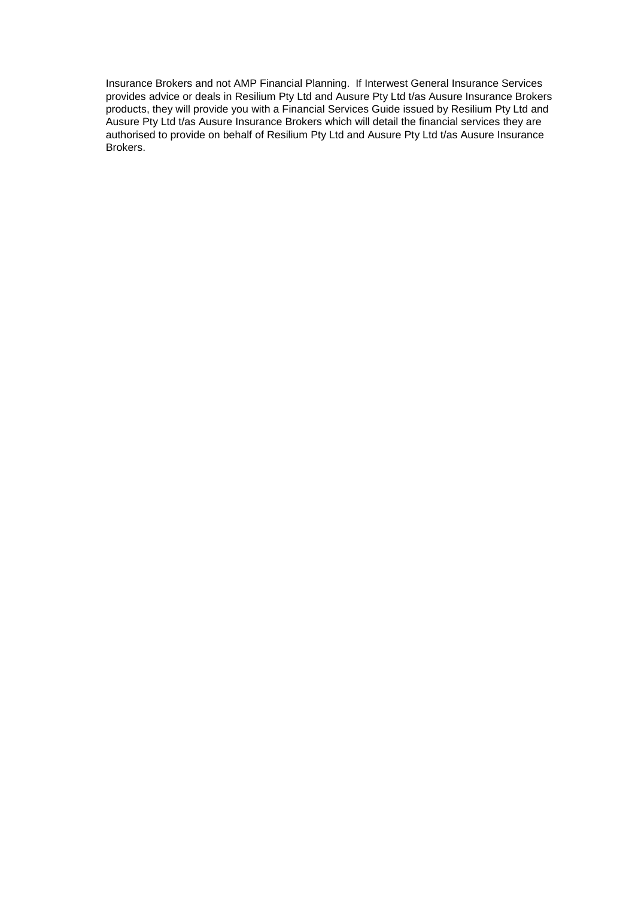Insurance Brokers and not AMP Financial Planning. If Interwest General Insurance Services provides advice or deals in Resilium Pty Ltd and Ausure Pty Ltd t/as Ausure Insurance Brokers products, they will provide you with a Financial Services Guide issued by Resilium Pty Ltd and Ausure Pty Ltd t/as Ausure Insurance Brokers which will detail the financial services they are authorised to provide on behalf of Resilium Pty Ltd and Ausure Pty Ltd t/as Ausure Insurance Brokers.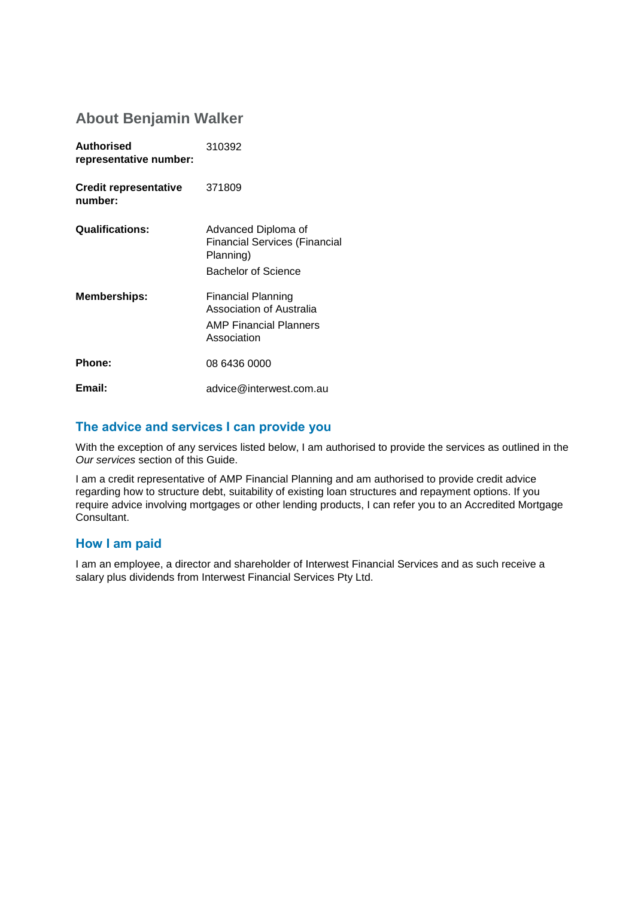## **About Benjamin Walker**

| <b>Authorised</b><br>representative number: | 310392                                                                                          |
|---------------------------------------------|-------------------------------------------------------------------------------------------------|
| <b>Credit representative</b><br>number:     | 371809                                                                                          |
| <b>Qualifications:</b>                      | Advanced Diploma of<br><b>Financial Services (Financial</b><br>Planning)<br>Bachelor of Science |
| <b>Memberships:</b>                         | Financial Planning<br>Association of Australia<br><b>AMP Financial Planners</b><br>Association  |
| <b>Phone:</b>                               | 08 6436 0000                                                                                    |
| Email:                                      | advice@interwest.com.au                                                                         |

### **The advice and services I can provide you**

With the exception of any services listed below, I am authorised to provide the services as outlined in the *Our services* section of this Guide.

I am a credit representative of AMP Financial Planning and am authorised to provide credit advice regarding how to structure debt, suitability of existing loan structures and repayment options. If you require advice involving mortgages or other lending products, I can refer you to an Accredited Mortgage Consultant.

#### **How I am paid**

I am an employee, a director and shareholder of Interwest Financial Services and as such receive a salary plus dividends from Interwest Financial Services Pty Ltd.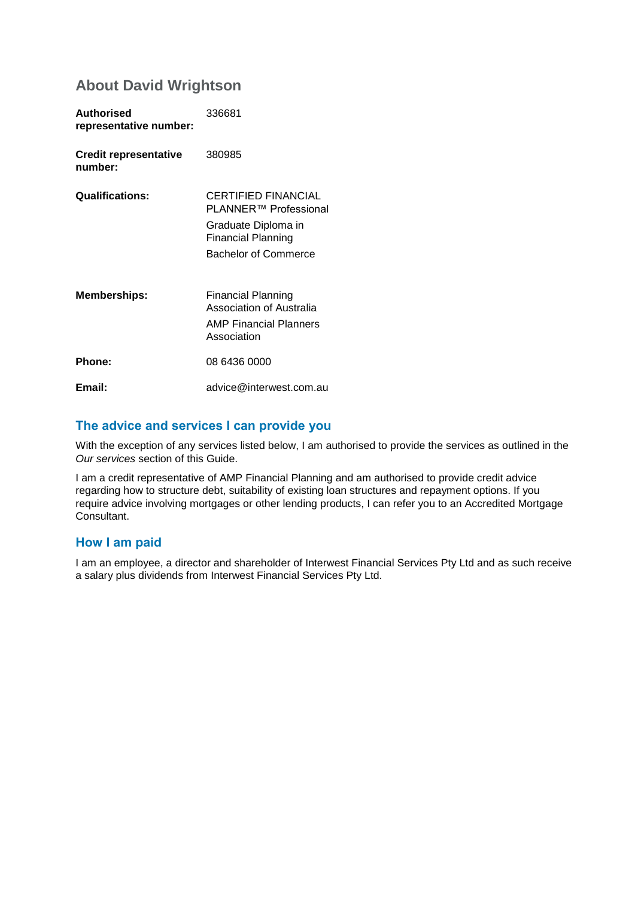## **About David Wrightson**

| <b>Authorised</b><br>representative number: | 336681                                                                                                                                 |
|---------------------------------------------|----------------------------------------------------------------------------------------------------------------------------------------|
| <b>Credit representative</b><br>number:     | 380985                                                                                                                                 |
| <b>Qualifications:</b>                      | <b>CERTIFIED FINANCIAL</b><br>PLANNER™ Professional<br>Graduate Diploma in<br><b>Financial Planning</b><br><b>Bachelor of Commerce</b> |
| <b>Memberships:</b>                         | Financial Planning<br>Association of Australia<br>AMP Financial Planners<br>Association                                                |
| Phone:                                      | 08 6436 0000                                                                                                                           |
| Email:                                      | advice@interwest.com.au                                                                                                                |

### **The advice and services I can provide you**

With the exception of any services listed below, I am authorised to provide the services as outlined in the *Our services* section of this Guide.

I am a credit representative of AMP Financial Planning and am authorised to provide credit advice regarding how to structure debt, suitability of existing loan structures and repayment options. If you require advice involving mortgages or other lending products, I can refer you to an Accredited Mortgage Consultant.

### **How I am paid**

I am an employee, a director and shareholder of Interwest Financial Services Pty Ltd and as such receive a salary plus dividends from Interwest Financial Services Pty Ltd.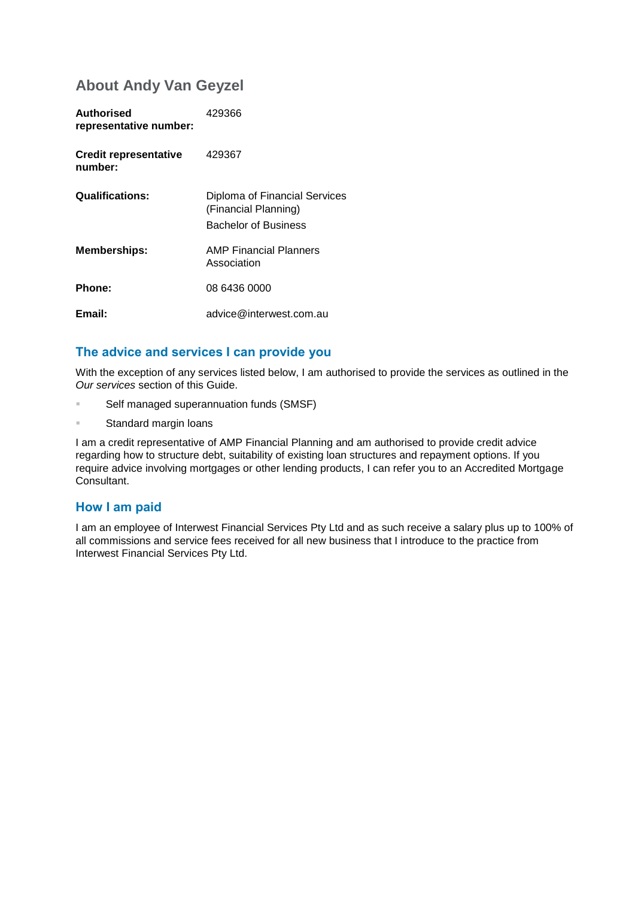## **About Andy Van Geyzel**

| Authorised<br>representative number:    | 429366                                                                               |
|-----------------------------------------|--------------------------------------------------------------------------------------|
| <b>Credit representative</b><br>number: | 429367                                                                               |
| <b>Qualifications:</b>                  | Diploma of Financial Services<br>(Financial Planning)<br><b>Bachelor of Business</b> |
| <b>Memberships:</b>                     | <b>AMP Financial Planners</b><br>Association                                         |
| Phone:                                  | 08 6436 0000                                                                         |
| Email:                                  | advice@interwest.com.au                                                              |

#### **The advice and services I can provide you**

With the exception of any services listed below, I am authorised to provide the services as outlined in the *Our services* section of this Guide.

- Self managed superannuation funds (SMSF)
- **Standard margin loans**

I am a credit representative of AMP Financial Planning and am authorised to provide credit advice regarding how to structure debt, suitability of existing loan structures and repayment options. If you require advice involving mortgages or other lending products, I can refer you to an Accredited Mortgage Consultant.

#### **How I am paid**

I am an employee of Interwest Financial Services Pty Ltd and as such receive a salary plus up to 100% of all commissions and service fees received for all new business that I introduce to the practice from Interwest Financial Services Pty Ltd.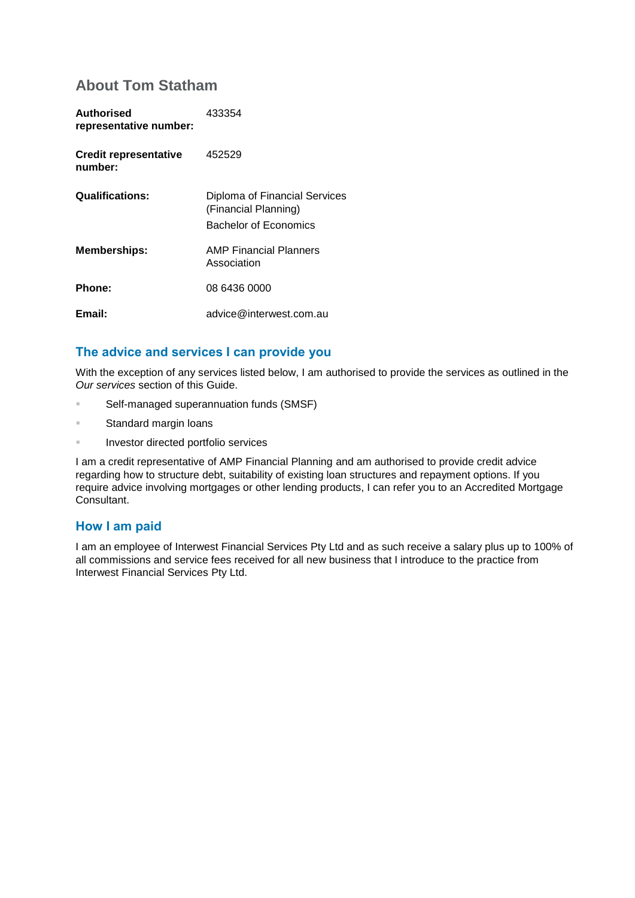## **About Tom Statham**

| Authorised<br>representative number:    | 433354                                                                         |
|-----------------------------------------|--------------------------------------------------------------------------------|
| <b>Credit representative</b><br>number: | 452529                                                                         |
| <b>Qualifications:</b>                  | Diploma of Financial Services<br>(Financial Planning)<br>Bachelor of Economics |
| <b>Memberships:</b>                     | <b>AMP Financial Planners</b><br>Association                                   |
| Phone:                                  | 08 6436 0000                                                                   |
| Email:                                  | advice@interwest.com.au                                                        |

### **The advice and services I can provide you**

With the exception of any services listed below, I am authorised to provide the services as outlined in the *Our services* section of this Guide.

- Self-managed superannuation funds (SMSF)
- **Standard margin loans**
- **Investor directed portfolio services**

I am a credit representative of AMP Financial Planning and am authorised to provide credit advice regarding how to structure debt, suitability of existing loan structures and repayment options. If you require advice involving mortgages or other lending products, I can refer you to an Accredited Mortgage Consultant.

#### **How I am paid**

I am an employee of Interwest Financial Services Pty Ltd and as such receive a salary plus up to 100% of all commissions and service fees received for all new business that I introduce to the practice from Interwest Financial Services Pty Ltd.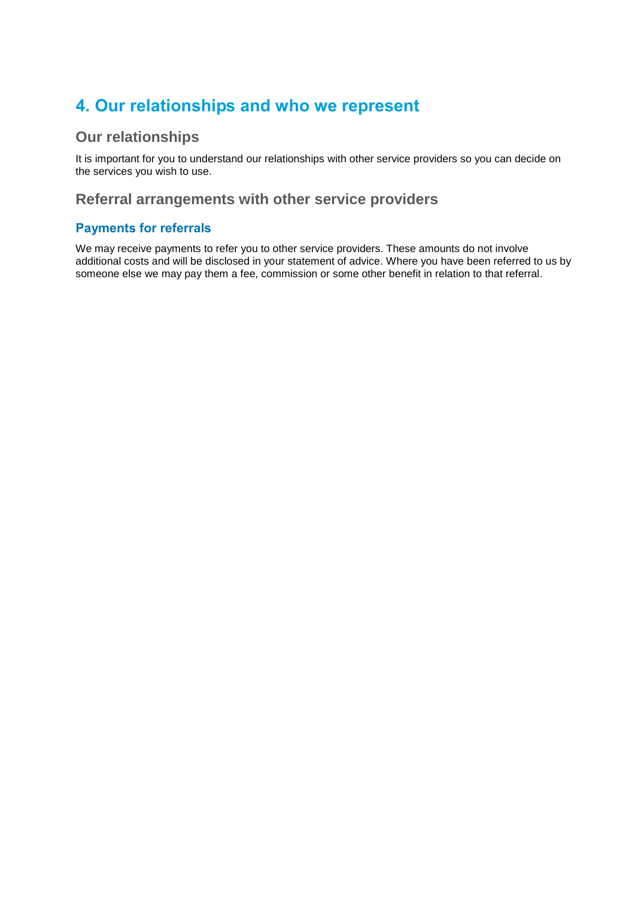## **4. Our relationships and who we represent**

## **Our relationships**

It is important for you to understand our relationships with other service providers so you can decide on the services you wish to use.

## **Referral arrangements with other service providers**

### **Payments for referrals**

We may receive payments to refer you to other service providers. These amounts do not involve additional costs and will be disclosed in your statement of advice. Where you have been referred to us by someone else we may pay them a fee, commission or some other benefit in relation to that referral.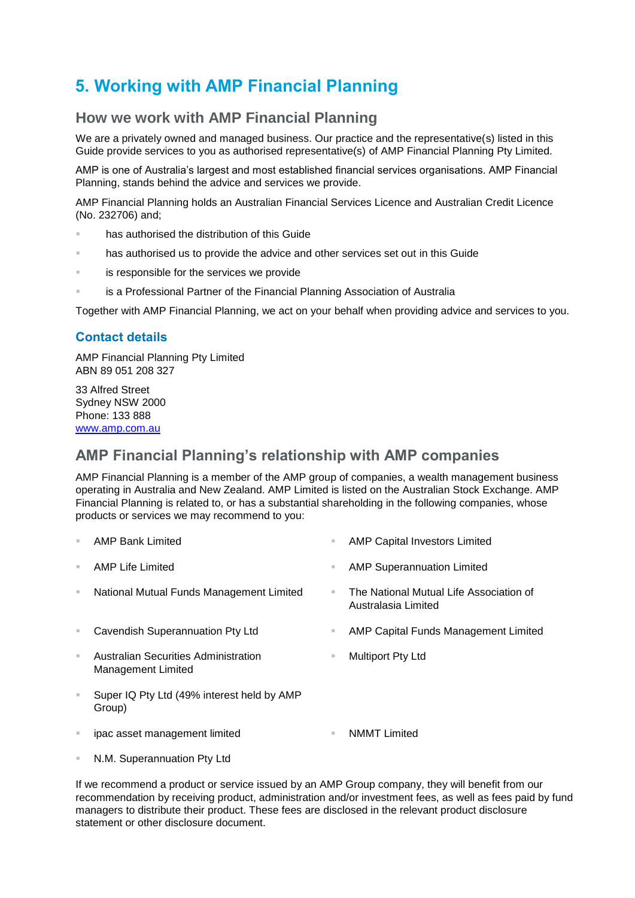## **5. Working with AMP Financial Planning**

## **How we work with AMP Financial Planning**

We are a privately owned and managed business. Our practice and the representative(s) listed in this Guide provide services to you as authorised representative(s) of AMP Financial Planning Pty Limited.

AMP is one of Australia's largest and most established financial services organisations. AMP Financial Planning, stands behind the advice and services we provide.

AMP Financial Planning holds an Australian Financial Services Licence and Australian Credit Licence (No. 232706) and;

- has authorised the distribution of this Guide
- has authorised us to provide the advice and other services set out in this Guide
- is responsible for the services we provide
- is a Professional Partner of the Financial Planning Association of Australia

Together with AMP Financial Planning, we act on your behalf when providing advice and services to you.

#### **Contact details**

AMP Financial Planning Pty Limited ABN 89 051 208 327

33 Alfred Street Sydney NSW 2000 Phone: 133 888 [www.amp.com.au](http://www.amp.com.au/)

## **AMP Financial Planning's relationship with AMP companies**

AMP Financial Planning is a member of the AMP group of companies, a wealth management business operating in Australia and New Zealand. AMP Limited is listed on the Australian Stock Exchange. AMP Financial Planning is related to, or has a substantial shareholding in the following companies, whose products or services we may recommend to you:

| ×  | <b>AMP Bank Limited</b>                                    | ш  | <b>AMP Capital Investors Limited</b>                           |
|----|------------------------------------------------------------|----|----------------------------------------------------------------|
| m. | AMP Life Limited                                           | u. | <b>AMP Superannuation Limited</b>                              |
| ×  | National Mutual Funds Management Limited                   |    | The National Mutual Life Association of<br>Australasia Limited |
| ×  | Cavendish Superannuation Pty Ltd                           | u. | AMP Capital Funds Management Limited                           |
| ш  | Australian Securities Administration<br>Management Limited | ш  | <b>Multiport Pty Ltd</b>                                       |
| ш  | Super IQ Pty Ltd (49% interest held by AMP<br>Group)       |    |                                                                |
| ш  | ipac asset management limited                              | ш  | <b>NMMT</b> Limited                                            |
|    |                                                            |    |                                                                |

N.M. Superannuation Pty Ltd

If we recommend a product or service issued by an AMP Group company, they will benefit from our recommendation by receiving product, administration and/or investment fees, as well as fees paid by fund managers to distribute their product. These fees are disclosed in the relevant product disclosure statement or other disclosure document.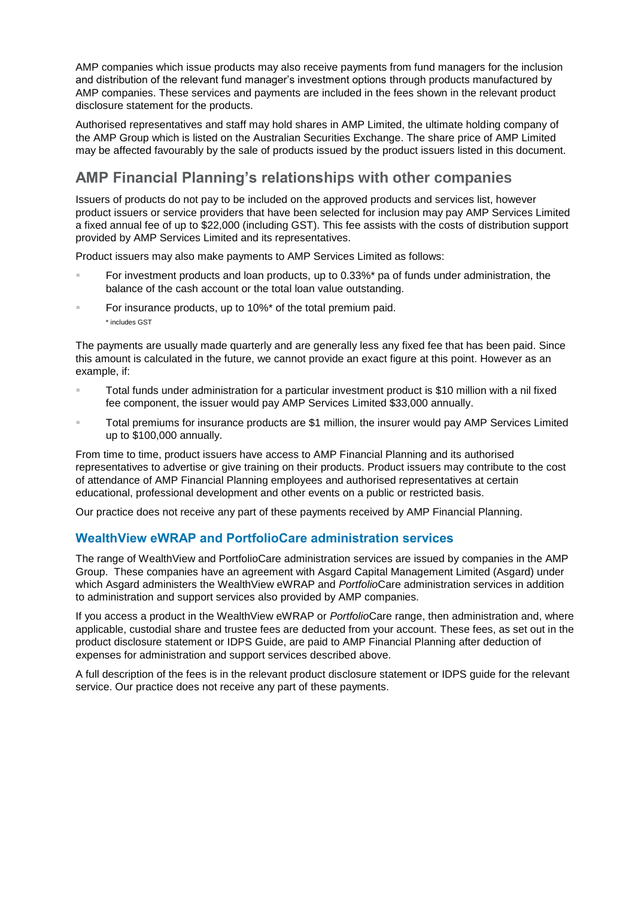AMP companies which issue products may also receive payments from fund managers for the inclusion and distribution of the relevant fund manager's investment options through products manufactured by AMP companies. These services and payments are included in the fees shown in the relevant product disclosure statement for the products.

Authorised representatives and staff may hold shares in AMP Limited, the ultimate holding company of the AMP Group which is listed on the Australian Securities Exchange. The share price of AMP Limited may be affected favourably by the sale of products issued by the product issuers listed in this document.

## **AMP Financial Planning's relationships with other companies**

Issuers of products do not pay to be included on the approved products and services list, however product issuers or service providers that have been selected for inclusion may pay AMP Services Limited a fixed annual fee of up to \$22,000 (including GST). This fee assists with the costs of distribution support provided by AMP Services Limited and its representatives.

Product issuers may also make payments to AMP Services Limited as follows:

- For investment products and loan products, up to 0.33%\* pa of funds under administration, the balance of the cash account or the total loan value outstanding.
- For insurance products, up to 10%\* of the total premium paid. \* includes GST

The payments are usually made quarterly and are generally less any fixed fee that has been paid. Since this amount is calculated in the future, we cannot provide an exact figure at this point. However as an example, if:

- Total funds under administration for a particular investment product is \$10 million with a nil fixed fee component, the issuer would pay AMP Services Limited \$33,000 annually.
- Total premiums for insurance products are \$1 million, the insurer would pay AMP Services Limited up to \$100,000 annually.

From time to time, product issuers have access to AMP Financial Planning and its authorised representatives to advertise or give training on their products. Product issuers may contribute to the cost of attendance of AMP Financial Planning employees and authorised representatives at certain educational, professional development and other events on a public or restricted basis.

Our practice does not receive any part of these payments received by AMP Financial Planning.

### **WealthView eWRAP and PortfolioCare administration services**

The range of WealthView and PortfolioCare administration services are issued by companies in the AMP Group. These companies have an agreement with Asgard Capital Management Limited (Asgard) under which Asgard administers the WealthView eWRAP and *Portfolio*Care administration services in addition to administration and support services also provided by AMP companies.

If you access a product in the WealthView eWRAP or *Portfolio*Care range, then administration and, where applicable, custodial share and trustee fees are deducted from your account. These fees, as set out in the product disclosure statement or IDPS Guide, are paid to AMP Financial Planning after deduction of expenses for administration and support services described above.

A full description of the fees is in the relevant product disclosure statement or IDPS guide for the relevant service. Our practice does not receive any part of these payments.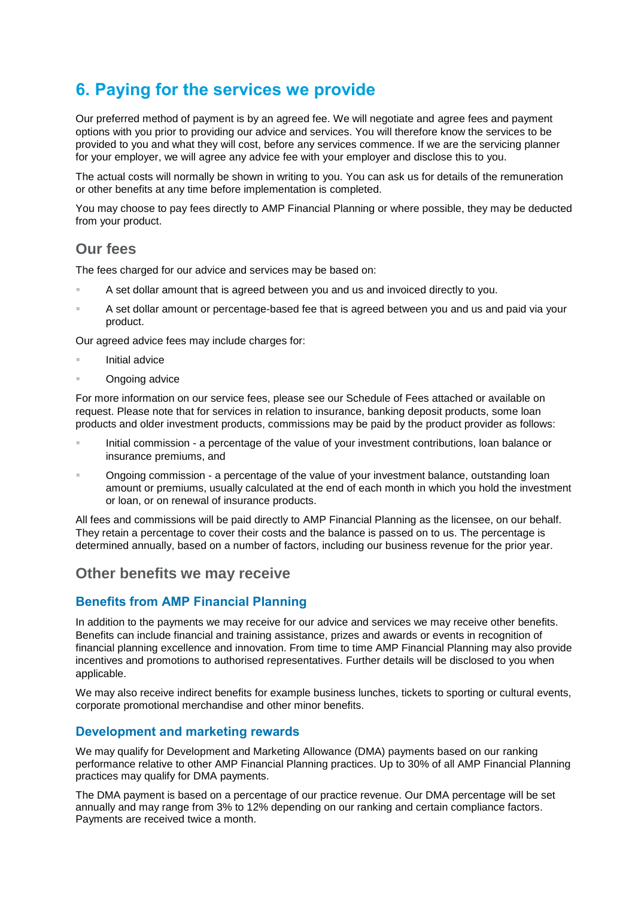## **6. Paying for the services we provide**

Our preferred method of payment is by an agreed fee. We will negotiate and agree fees and payment options with you prior to providing our advice and services. You will therefore know the services to be provided to you and what they will cost, before any services commence. If we are the servicing planner for your employer, we will agree any advice fee with your employer and disclose this to you.

The actual costs will normally be shown in writing to you. You can ask us for details of the remuneration or other benefits at any time before implementation is completed.

You may choose to pay fees directly to AMP Financial Planning or where possible, they may be deducted from your product.

### **Our fees**

The fees charged for our advice and services may be based on:

- A set dollar amount that is agreed between you and us and invoiced directly to you.
- A set dollar amount or percentage-based fee that is agreed between you and us and paid via your product.

Our agreed advice fees may include charges for:

- Initial advice
- **Congoing advice**

For more information on our service fees, please see our Schedule of Fees attached or available on request. Please note that for services in relation to insurance, banking deposit products, some loan products and older investment products, commissions may be paid by the product provider as follows:

- Initial commission a percentage of the value of your investment contributions, loan balance or insurance premiums, and
- Ongoing commission a percentage of the value of your investment balance, outstanding loan amount or premiums, usually calculated at the end of each month in which you hold the investment or loan, or on renewal of insurance products.

All fees and commissions will be paid directly to AMP Financial Planning as the licensee, on our behalf. They retain a percentage to cover their costs and the balance is passed on to us. The percentage is determined annually, based on a number of factors, including our business revenue for the prior year.

### **Other benefits we may receive**

### **Benefits from AMP Financial Planning**

In addition to the payments we may receive for our advice and services we may receive other benefits. Benefits can include financial and training assistance, prizes and awards or events in recognition of financial planning excellence and innovation. From time to time AMP Financial Planning may also provide incentives and promotions to authorised representatives. Further details will be disclosed to you when applicable.

We may also receive indirect benefits for example business lunches, tickets to sporting or cultural events, corporate promotional merchandise and other minor benefits.

#### **Development and marketing rewards**

We may qualify for Development and Marketing Allowance (DMA) payments based on our ranking performance relative to other AMP Financial Planning practices. Up to 30% of all AMP Financial Planning practices may qualify for DMA payments.

The DMA payment is based on a percentage of our practice revenue. Our DMA percentage will be set annually and may range from 3% to 12% depending on our ranking and certain compliance factors. Payments are received twice a month.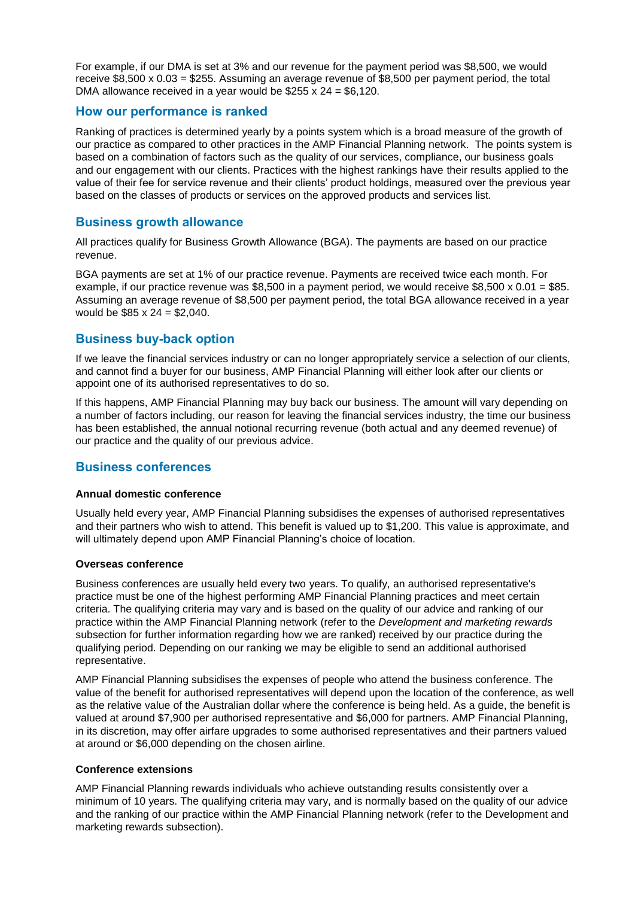For example, if our DMA is set at 3% and our revenue for the payment period was \$8,500, we would receive \$8,500 x 0.03 = \$255. Assuming an average revenue of \$8,500 per payment period, the total DMA allowance received in a year would be  $$255 \times 24 = $6,120$ .

#### **How our performance is ranked**

Ranking of practices is determined yearly by a points system which is a broad measure of the growth of our practice as compared to other practices in the AMP Financial Planning network. The points system is based on a combination of factors such as the quality of our services, compliance, our business goals and our engagement with our clients. Practices with the highest rankings have their results applied to the value of their fee for service revenue and their clients' product holdings, measured over the previous year based on the classes of products or services on the approved products and services list.

#### **Business growth allowance**

All practices qualify for Business Growth Allowance (BGA). The payments are based on our practice revenue.

BGA payments are set at 1% of our practice revenue. Payments are received twice each month. For example, if our practice revenue was \$8,500 in a payment period, we would receive \$8,500 x 0.01 = \$85. Assuming an average revenue of \$8,500 per payment period, the total BGA allowance received in a year would be \$85 x 24 = \$2,040.

#### **Business buy-back option**

If we leave the financial services industry or can no longer appropriately service a selection of our clients, and cannot find a buyer for our business, AMP Financial Planning will either look after our clients or appoint one of its authorised representatives to do so.

If this happens, AMP Financial Planning may buy back our business. The amount will vary depending on a number of factors including, our reason for leaving the financial services industry, the time our business has been established, the annual notional recurring revenue (both actual and any deemed revenue) of our practice and the quality of our previous advice.

#### **Business conferences**

#### **Annual domestic conference**

Usually held every year, AMP Financial Planning subsidises the expenses of authorised representatives and their partners who wish to attend. This benefit is valued up to \$1,200. This value is approximate, and will ultimately depend upon AMP Financial Planning's choice of location.

#### **Overseas conference**

Business conferences are usually held every two years. To qualify, an authorised representative's practice must be one of the highest performing AMP Financial Planning practices and meet certain criteria. The qualifying criteria may vary and is based on the quality of our advice and ranking of our practice within the AMP Financial Planning network (refer to the *Development and marketing rewards* subsection for further information regarding how we are ranked) received by our practice during the qualifying period. Depending on our ranking we may be eligible to send an additional authorised representative.

AMP Financial Planning subsidises the expenses of people who attend the business conference. The value of the benefit for authorised representatives will depend upon the location of the conference, as well as the relative value of the Australian dollar where the conference is being held. As a guide, the benefit is valued at around \$7,900 per authorised representative and \$6,000 for partners. AMP Financial Planning, in its discretion, may offer airfare upgrades to some authorised representatives and their partners valued at around or \$6,000 depending on the chosen airline.

#### **Conference extensions**

AMP Financial Planning rewards individuals who achieve outstanding results consistently over a minimum of 10 years. The qualifying criteria may vary, and is normally based on the quality of our advice and the ranking of our practice within the AMP Financial Planning network (refer to the Development and marketing rewards subsection).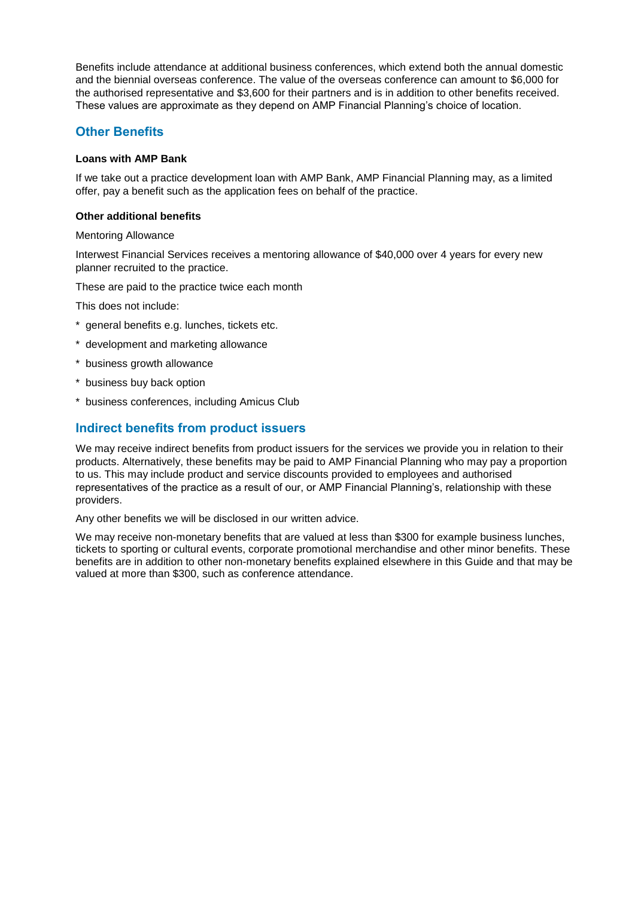Benefits include attendance at additional business conferences, which extend both the annual domestic and the biennial overseas conference. The value of the overseas conference can amount to \$6,000 for the authorised representative and \$3,600 for their partners and is in addition to other benefits received. These values are approximate as they depend on AMP Financial Planning's choice of location.

#### **Other Benefits**

#### **Loans with AMP Bank**

If we take out a practice development loan with AMP Bank, AMP Financial Planning may, as a limited offer, pay a benefit such as the application fees on behalf of the practice.

#### **Other additional benefits**

Mentoring Allowance

Interwest Financial Services receives a mentoring allowance of \$40,000 over 4 years for every new planner recruited to the practice.

These are paid to the practice twice each month

This does not include:

- \* general benefits e.g. lunches, tickets etc.
- \* development and marketing allowance
- \* business growth allowance
- \* business buy back option
- \* business conferences, including Amicus Club

#### **Indirect benefits from product issuers**

We may receive indirect benefits from product issuers for the services we provide you in relation to their products. Alternatively, these benefits may be paid to AMP Financial Planning who may pay a proportion to us. This may include product and service discounts provided to employees and authorised representatives of the practice as a result of our, or AMP Financial Planning's, relationship with these providers.

Any other benefits we will be disclosed in our written advice.

We may receive non-monetary benefits that are valued at less than \$300 for example business lunches, tickets to sporting or cultural events, corporate promotional merchandise and other minor benefits. These benefits are in addition to other non-monetary benefits explained elsewhere in this Guide and that may be valued at more than \$300, such as conference attendance.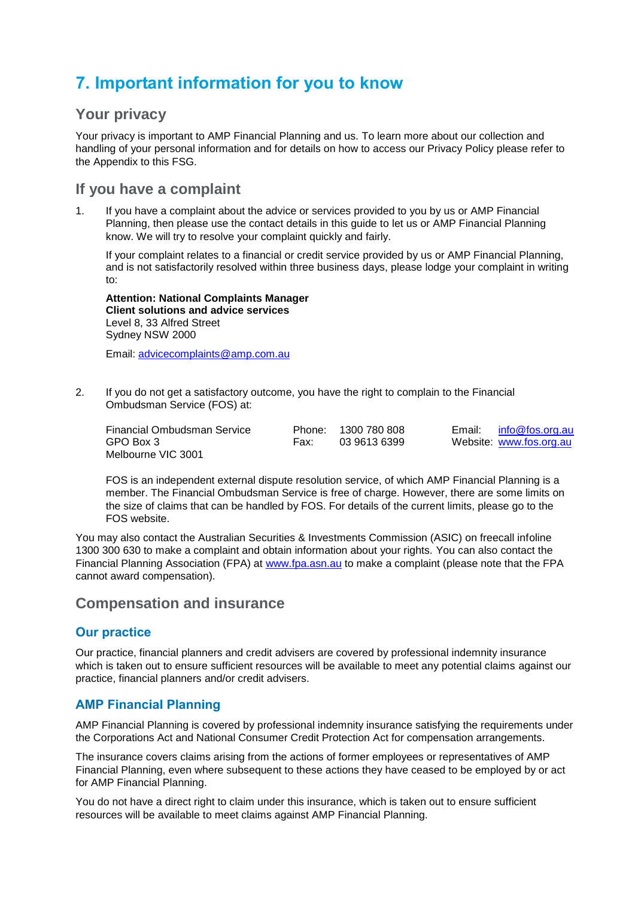## **7. Important information for you to know**

### **Your privacy**

Your privacy is important to AMP Financial Planning and us. To learn more about our collection and handling of your personal information and for details on how to access our Privacy Policy please refer to the Appendix to this FSG.

### **If you have a complaint**

1. If you have a complaint about the advice or services provided to you by us or AMP Financial Planning, then please use the contact details in this guide to let us or AMP Financial Planning know. We will try to resolve your complaint quickly and fairly.

If your complaint relates to a financial or credit service provided by us or AMP Financial Planning, and is not satisfactorily resolved within three business days, please lodge your complaint in writing to:

**Attention: National Complaints Manager Client solutions and advice services** Level 8, 33 Alfred Street Sydney NSW 2000

Email: [advicecomplaints@amp.com.au](mailto:advicecomplaints@amp.com.au)

2. If you do not get a satisfactory outcome, you have the right to complain to the Financial Ombudsman Service (FOS) at:

| Financial Ombudsman Service | Phone: | 1300 780 808 | Email: info@fos.org.au  |
|-----------------------------|--------|--------------|-------------------------|
| GPO Box 3                   | Fax:   | 03 9613 6399 | Website: www.fos.org.au |
| Melbourne VIC 3001          |        |              |                         |

FOS is an independent external dispute resolution service, of which AMP Financial Planning is a member. The Financial Ombudsman Service is free of charge. However, there are some limits on the size of claims that can be handled by FOS. For details of the current limits, please go to the FOS website.

You may also contact the Australian Securities & Investments Commission (ASIC) on freecall infoline 1300 300 630 to make a complaint and obtain information about your rights. You can also contact the Financial Planning Association (FPA) at [www.fpa.asn.au](http://www.fpa.asn.au/) to make a complaint (please note that the FPA cannot award compensation).

### **Compensation and insurance**

#### **Our practice**

Our practice, financial planners and credit advisers are covered by professional indemnity insurance which is taken out to ensure sufficient resources will be available to meet any potential claims against our practice, financial planners and/or credit advisers.

### **AMP Financial Planning**

AMP Financial Planning is covered by professional indemnity insurance satisfying the requirements under the Corporations Act and National Consumer Credit Protection Act for compensation arrangements.

The insurance covers claims arising from the actions of former employees or representatives of AMP Financial Planning, even where subsequent to these actions they have ceased to be employed by or act for AMP Financial Planning.

You do not have a direct right to claim under this insurance, which is taken out to ensure sufficient resources will be available to meet claims against AMP Financial Planning.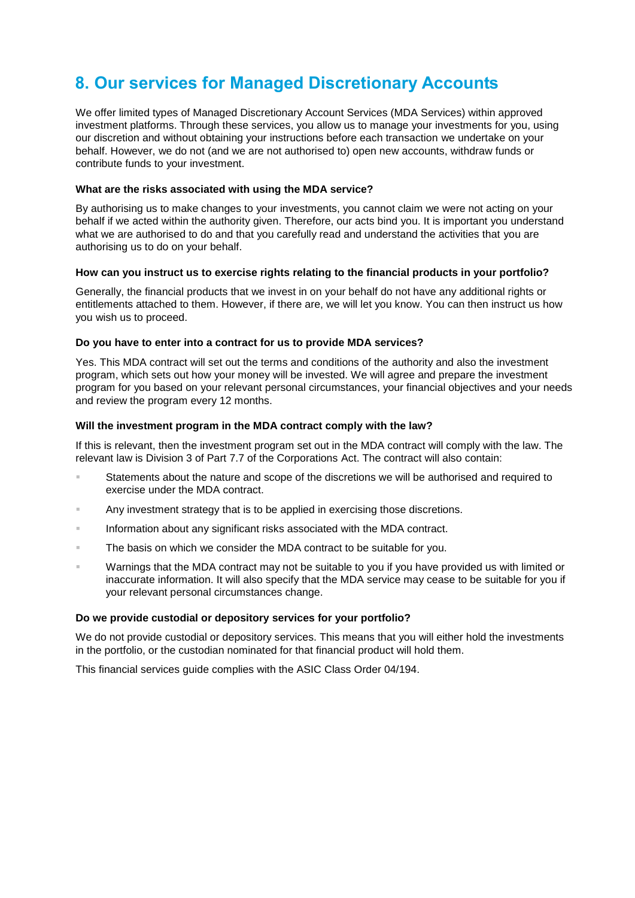## **8. Our services for Managed Discretionary Accounts**

We offer limited types of Managed Discretionary Account Services (MDA Services) within approved investment platforms. Through these services, you allow us to manage your investments for you, using our discretion and without obtaining your instructions before each transaction we undertake on your behalf. However, we do not (and we are not authorised to) open new accounts, withdraw funds or contribute funds to your investment.

#### **What are the risks associated with using the MDA service?**

By authorising us to make changes to your investments, you cannot claim we were not acting on your behalf if we acted within the authority given. Therefore, our acts bind you. It is important you understand what we are authorised to do and that you carefully read and understand the activities that you are authorising us to do on your behalf.

#### **How can you instruct us to exercise rights relating to the financial products in your portfolio?**

Generally, the financial products that we invest in on your behalf do not have any additional rights or entitlements attached to them. However, if there are, we will let you know. You can then instruct us how you wish us to proceed.

#### **Do you have to enter into a contract for us to provide MDA services?**

Yes. This MDA contract will set out the terms and conditions of the authority and also the investment program, which sets out how your money will be invested. We will agree and prepare the investment program for you based on your relevant personal circumstances, your financial objectives and your needs and review the program every 12 months.

#### **Will the investment program in the MDA contract comply with the law?**

If this is relevant, then the investment program set out in the MDA contract will comply with the law. The relevant law is Division 3 of Part 7.7 of the Corporations Act. The contract will also contain:

- Statements about the nature and scope of the discretions we will be authorised and required to exercise under the MDA contract.
- Any investment strategy that is to be applied in exercising those discretions.
- **Information about any significant risks associated with the MDA contract.**
- The basis on which we consider the MDA contract to be suitable for you.
- Warnings that the MDA contract may not be suitable to you if you have provided us with limited or inaccurate information. It will also specify that the MDA service may cease to be suitable for you if your relevant personal circumstances change.

#### **Do we provide custodial or depository services for your portfolio?**

We do not provide custodial or depository services. This means that you will either hold the investments in the portfolio, or the custodian nominated for that financial product will hold them.

This financial services guide complies with the ASIC Class Order 04/194.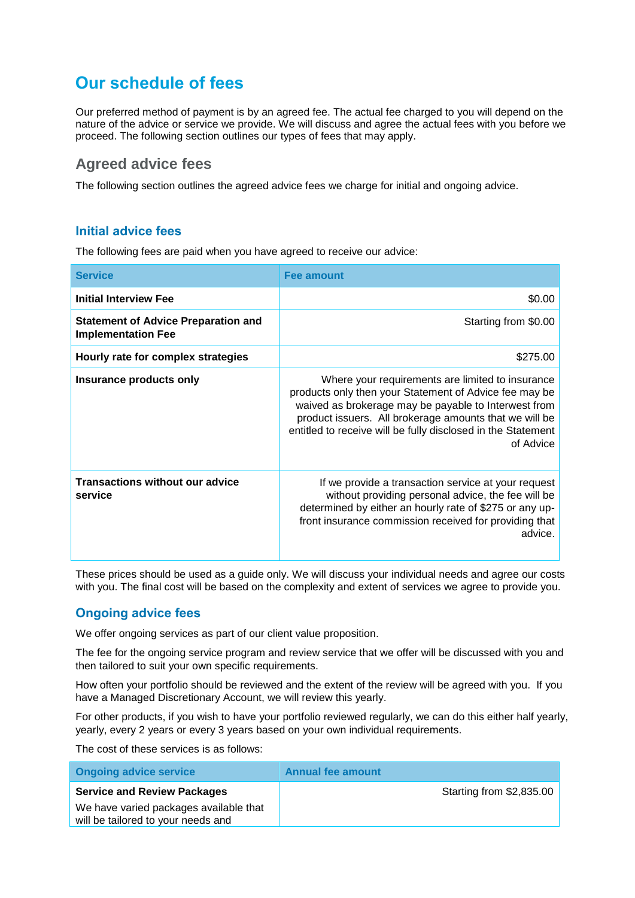## **Our schedule of fees**

Our preferred method of payment is by an agreed fee. The actual fee charged to you will depend on the nature of the advice or service we provide. We will discuss and agree the actual fees with you before we proceed. The following section outlines our types of fees that may apply.

## **Agreed advice fees**

The following section outlines the agreed advice fees we charge for initial and ongoing advice.

### **Initial advice fees**

The following fees are paid when you have agreed to receive our advice:

| <b>Service</b>                                                          | <b>Fee amount</b>                                                                                                                                                                                                                                                                                         |
|-------------------------------------------------------------------------|-----------------------------------------------------------------------------------------------------------------------------------------------------------------------------------------------------------------------------------------------------------------------------------------------------------|
| <b>Initial Interview Fee</b>                                            | \$0.00                                                                                                                                                                                                                                                                                                    |
| <b>Statement of Advice Preparation and</b><br><b>Implementation Fee</b> | Starting from \$0.00                                                                                                                                                                                                                                                                                      |
| Hourly rate for complex strategies                                      | \$275.00                                                                                                                                                                                                                                                                                                  |
| Insurance products only                                                 | Where your requirements are limited to insurance<br>products only then your Statement of Advice fee may be<br>waived as brokerage may be payable to Interwest from<br>product issuers. All brokerage amounts that we will be<br>entitled to receive will be fully disclosed in the Statement<br>of Advice |
| <b>Transactions without our advice</b><br>service                       | If we provide a transaction service at your request<br>without providing personal advice, the fee will be<br>determined by either an hourly rate of \$275 or any up-<br>front insurance commission received for providing that<br>advice.                                                                 |

These prices should be used as a guide only. We will discuss your individual needs and agree our costs with you. The final cost will be based on the complexity and extent of services we agree to provide you.

### **Ongoing advice fees**

We offer ongoing services as part of our client value proposition.

The fee for the ongoing service program and review service that we offer will be discussed with you and then tailored to suit your own specific requirements.

How often your portfolio should be reviewed and the extent of the review will be agreed with you. If you have a Managed Discretionary Account, we will review this yearly.

For other products, if you wish to have your portfolio reviewed regularly, we can do this either half yearly, yearly, every 2 years or every 3 years based on your own individual requirements.

The cost of these services is as follows:

| <b>Ongoing advice service</b>                                                | <b>Annual fee amount</b> |
|------------------------------------------------------------------------------|--------------------------|
| <b>Service and Review Packages</b>                                           | Starting from \$2,835.00 |
| We have varied packages available that<br>will be tailored to your needs and |                          |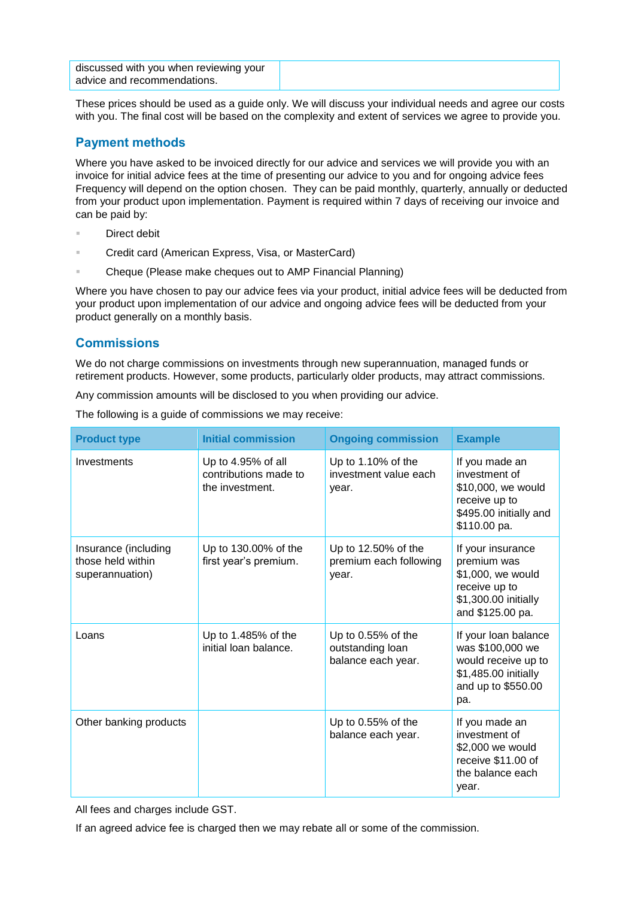| discussed with you when reviewing your |  |
|----------------------------------------|--|
| advice and recommendations.            |  |

These prices should be used as a guide only. We will discuss your individual needs and agree our costs with you. The final cost will be based on the complexity and extent of services we agree to provide you.

### **Payment methods**

Where you have asked to be invoiced directly for our advice and services we will provide you with an invoice for initial advice fees at the time of presenting our advice to you and for ongoing advice fees Frequency will depend on the option chosen. They can be paid monthly, quarterly, annually or deducted from your product upon implementation. Payment is required within 7 days of receiving our invoice and can be paid by:

- Direct debit
- Credit card (American Express, Visa, or MasterCard)
- Cheque (Please make cheques out to AMP Financial Planning)

Where you have chosen to pay our advice fees via your product, initial advice fees will be deducted from your product upon implementation of our advice and ongoing advice fees will be deducted from your product generally on a monthly basis.

#### **Commissions**

We do not charge commissions on investments through new superannuation, managed funds or retirement products. However, some products, particularly older products, may attract commissions.

Any commission amounts will be disclosed to you when providing our advice.

| <b>Product type</b> | <b>Initial commission</b> | <b>Ongoing com</b> |
|---------------------|---------------------------|--------------------|

The following is a guide of commissions we may receive:

| <b>Product type</b>                                          | <b>Initial commission</b>                                      | <b>Ongoing commission</b>                                      | <b>Example</b>                                                                                                       |
|--------------------------------------------------------------|----------------------------------------------------------------|----------------------------------------------------------------|----------------------------------------------------------------------------------------------------------------------|
| Investments                                                  | Up to 4.95% of all<br>contributions made to<br>the investment. | Up to 1.10% of the<br>investment value each<br>year.           | If you made an<br>investment of<br>\$10,000, we would<br>receive up to<br>\$495.00 initially and<br>\$110.00 pa.     |
| Insurance (including<br>those held within<br>superannuation) | Up to 130.00% of the<br>first year's premium.                  | Up to 12.50% of the<br>premium each following<br>year.         | If your insurance<br>premium was<br>\$1,000, we would<br>receive up to<br>\$1,300.00 initially<br>and \$125.00 pa.   |
| Loans                                                        | Up to 1.485% of the<br>initial loan balance.                   | Up to $0.55%$ of the<br>outstanding loan<br>balance each year. | If your loan balance<br>was \$100,000 we<br>would receive up to<br>\$1,485.00 initially<br>and up to \$550.00<br>pa. |
| Other banking products                                       |                                                                | Up to $0.55%$ of the<br>balance each year.                     | If you made an<br>investment of<br>\$2,000 we would<br>receive \$11.00 of<br>the balance each<br>year.               |

All fees and charges include GST.

If an agreed advice fee is charged then we may rebate all or some of the commission.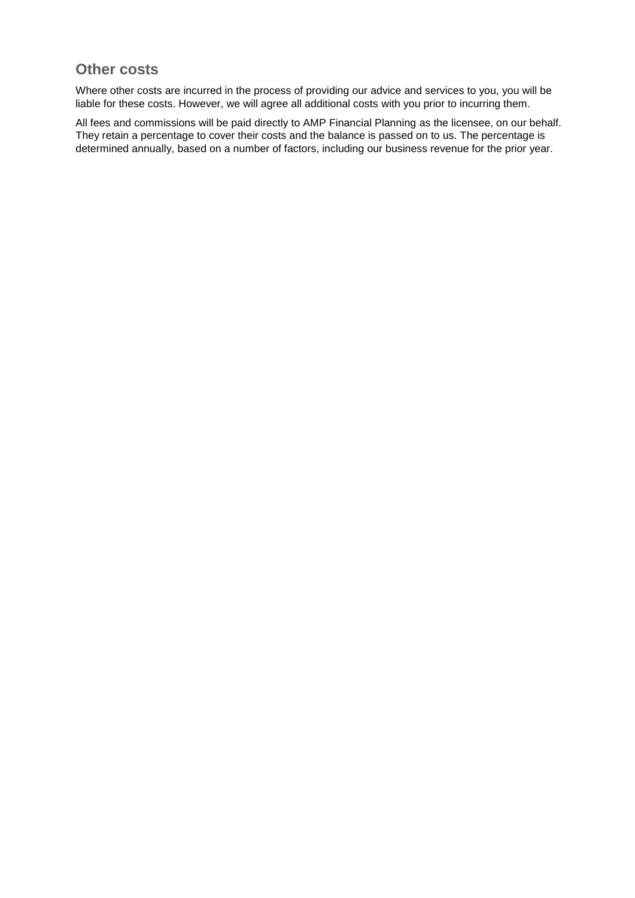## **Other costs**

Where other costs are incurred in the process of providing our advice and services to you, you will be liable for these costs. However, we will agree all additional costs with you prior to incurring them.

All fees and commissions will be paid directly to AMP Financial Planning as the licensee, on our behalf. They retain a percentage to cover their costs and the balance is passed on to us. The percentage is determined annually, based on a number of factors, including our business revenue for the prior year.